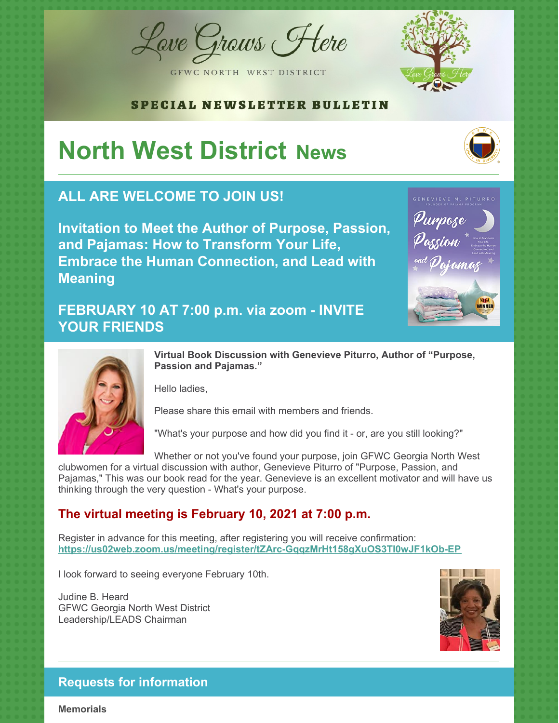Lave Graws Flere



GFWC NORTH WEST DISTRICT

#### SPECIAL NEWSLETTER BULLETIN

# **North West District News**

# **ALL ARE WELCOME TO JOIN US!**

**Invitation to Meet the Author of Purpose, Passion, and Pajamas: How to Transform Your Life, Embrace the Human Connection, and Lead with Meaning**

### **FEBRUARY 10 AT 7:00 p.m. via zoom - INVITE YOUR FRIENDS**





**Virtual Book Discussion with Genevieve Piturro, Author of "Purpose, Passion and Pajamas."**

Hello ladies,

Please share this email with members and friends.

"What's your purpose and how did you find it - or, are you still looking?"

Whether or not you've found your purpose, join GFWC Georgia North West

clubwomen for a virtual discussion with author, Genevieve Piturro of "Purpose, Passion, and Pajamas," This was our book read for the year. Genevieve is an excellent motivator and will have us thinking through the very question - What's your purpose.

#### **The virtual meeting is February 10, 2021 at 7:00 p.m.**

Register in advance for this meeting, after registering you will receive confirmation: **<https://us02web.zoom.us/meeting/register/tZArc-GqqzMrHt158gXuOS3TI0wJF1kOb-EP>**

I look forward to seeing everyone February 10th.

Judine B. Heard GFWC Georgia North West District Leadership/LEADS Chairman



#### **Requests for information**

**Memorials**